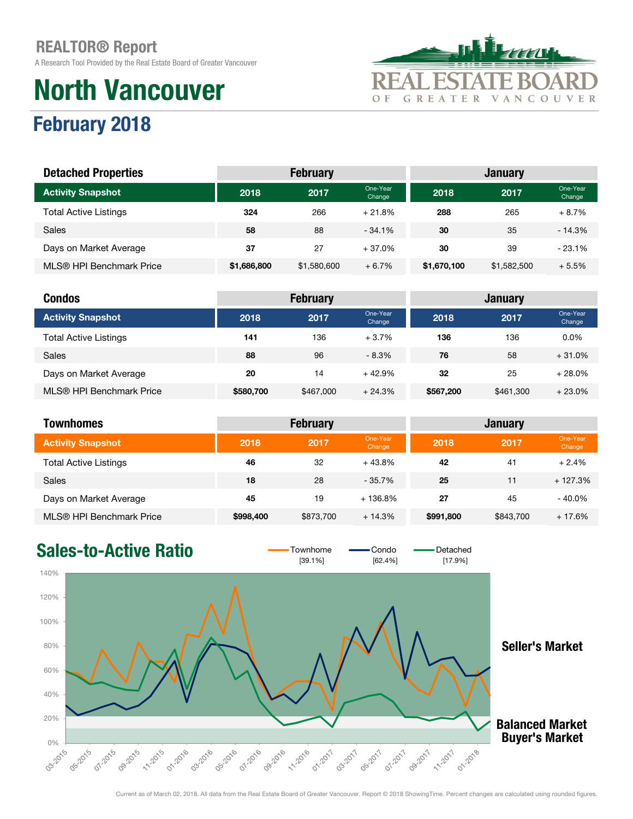February 2018

A Research Tool Provided by the Real Estate Board of Greater Vancouver

# North Vancouver



Change

#### er and the Sone-Year one-Year one-Year one-Year one-Year one-Year one-Year one-Year one-Year one-Year one-Year one-Year one-Year one-Year one-Year one-Year one-Year one-Year one-Year one-Year one-Year one-Year one-Year one Dne-Year **2018 2017** <sup>One-Year</sup> Change Total Active Listings 324 266 + 21.8% 288 265 + 8.7% Sales 58 58 58 58 30 35 - 14.3% Days on Market Average 23.1% 37 37 37 37 4 37.0% 30 39 - 23.1% MLS® HPI Benchmark Price \$1,686,800 \$1,580,600 + 6.7% \$1,670,100 \$1,582,500 + 5.5% Activity Snapshot Detached Properties **February Community** February Act and Tanuary Act and Tanuary

| <b>Condos</b>                |           | <b>February</b> |                    | <b>January</b> |           |                    |  |
|------------------------------|-----------|-----------------|--------------------|----------------|-----------|--------------------|--|
| <b>Activity Snapshot</b>     | 2018      | 2017            | One-Year<br>Change | 2018           | 2017      | One-Year<br>Change |  |
| <b>Total Active Listings</b> | 141       | 136             | $+3.7%$            | 136            | 136       | $0.0\%$            |  |
| <b>Sales</b>                 | 88        | 96              | $-8.3\%$           | 76             | 58        | $+31.0%$           |  |
| Days on Market Average       | 20        | 14              | $+42.9%$           | 32             | 25        | $+28.0%$           |  |
| MLS® HPI Benchmark Price     | \$580,700 | \$467,000       | $+24.3%$           | \$567,200      | \$461,300 | $+23.0%$           |  |

| Townhomes                    | <b>February</b> |           |                    |           | <b>January</b> |                    |  |
|------------------------------|-----------------|-----------|--------------------|-----------|----------------|--------------------|--|
| <b>Activity Snapshot</b>     | 2018            | 2017      | One-Year<br>Change | 2018      | 2017           | One-Year<br>Change |  |
| <b>Total Active Listings</b> | 46              | 32        | $+43.8%$           | 42        | 41             | $+2.4%$            |  |
| <b>Sales</b>                 | 18              | 28        | $-35.7%$           | 25        | 11             | $+127.3%$          |  |
| Days on Market Average       | 45              | 19        | $+136.8%$          | 27        | 45             | $-40.0\%$          |  |
| MLS® HPI Benchmark Price     | \$998,400       | \$873,700 | $+14.3%$           | \$991,800 | \$843,700      | $+17.6%$           |  |

### Sales-to-Active Ratio  $\overline{\phantom{0}}$   $\overline{\phantom{0}}$   $\overline{\phantom{0}}$   $\overline{\phantom{0}}$   $\overline{\phantom{0}}$   $\overline{\phantom{0}}$   $\overline{\phantom{0}}$   $\overline{\phantom{0}}$   $\overline{\phantom{0}}$   $\overline{\phantom{0}}$   $\overline{\phantom{0}}$   $\overline{\phantom{0}}$   $\overline{\phantom{0}}$   $\overline{\phantom{0}}$   $\overline{\phantom{0}}$   $\overline{\phantom{0}}$   $\overline{\phantom$

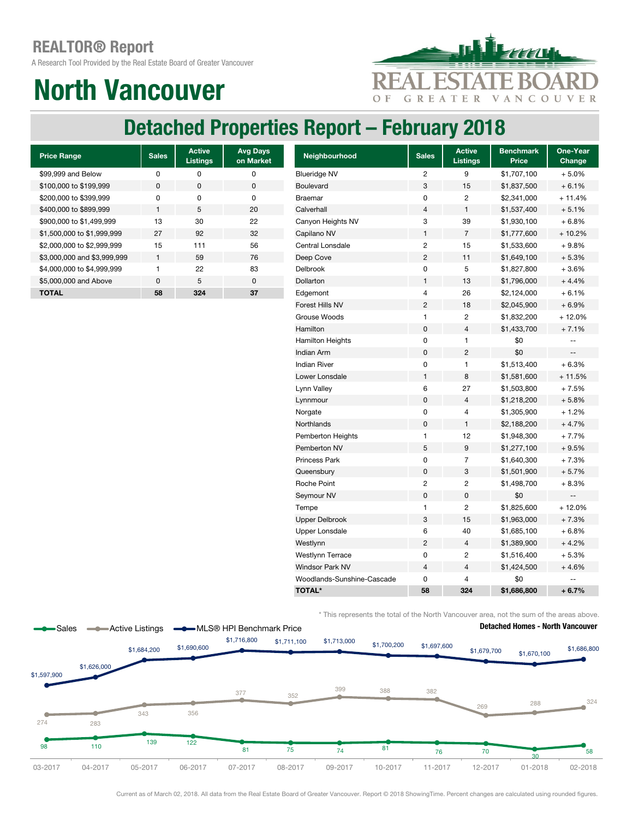A Research Tool Provided by the Real Estate Board of Greater Vancouver

# North Vancouver



### Detached Properties Report – February 2018

| <b>Price Range</b>          | <b>Sales</b> | <b>Active</b><br><b>Listings</b> | <b>Avg Days</b><br>on Market |
|-----------------------------|--------------|----------------------------------|------------------------------|
| \$99,999 and Below          | U            | ŋ                                | O                            |
| \$100,000 to \$199,999      | <sup>0</sup> | $\Omega$                         | 0                            |
| \$200,000 to \$399,999      | O            | O                                | O                            |
| \$400,000 to \$899,999      | 1            | 5                                | 20                           |
| \$900,000 to \$1,499,999    | 13           | 30                               | 22                           |
| \$1,500,000 to \$1,999,999  | 27           | 92                               | 32                           |
| \$2,000,000 to \$2,999,999  | 15           | 111                              | 56                           |
| \$3,000,000 and \$3,999,999 | $\mathbf{1}$ | 59                               | 76                           |
| \$4,000,000 to \$4,999,999  | 1            | 22                               | 83                           |
| \$5,000,000 and Above       | U            | 5                                | ŋ                            |
| <b>TOTAL</b>                | 58           | 324                              | 37                           |

| <b>Price Range</b>          | <b>Sales</b> | <b>Active</b><br><b>Listings</b> | <b>Avg Days</b><br>on Market | Neighbourhood              | <b>Sales</b>             | <b>Active</b><br><b>Listings</b> | <b>Benchmark</b><br>Price | One-Year<br>Change        |
|-----------------------------|--------------|----------------------------------|------------------------------|----------------------------|--------------------------|----------------------------------|---------------------------|---------------------------|
| \$99,999 and Below          | 0            | 0                                | $\mathbf 0$                  | <b>Blueridge NV</b>        | $\overline{c}$           | 9                                | \$1,707,100               | $+5.0%$                   |
| \$100,000 to \$199,999      | 0            | $\pmb{0}$                        | $\pmb{0}$                    | <b>Boulevard</b>           | 3                        | 15                               | \$1,837,500               | $+6.1%$                   |
| \$200,000 to \$399,999      | 0            | 0                                | $\mathbf 0$                  | <b>Braemar</b>             | $\mathbf 0$              | 2                                | \$2,341,000               | $+11.4%$                  |
| \$400,000 to \$899,999      | $\mathbf{1}$ | $\sqrt{5}$                       | 20                           | Calverhall                 | $\overline{4}$           | 1                                | \$1,537,400               | $+5.1%$                   |
| \$900,000 to \$1,499,999    | 13           | 30                               | 22                           | Canyon Heights NV          | 3                        | 39                               | \$1,930,100               | $+6.8%$                   |
| \$1,500,000 to \$1,999,999  | 27           | 92                               | 32                           | Capilano NV                | $\mathbf{1}$             | $\overline{7}$                   | \$1,777,600               | $+10.2%$                  |
| \$2,000,000 to \$2,999,999  | 15           | 111                              | 56                           | Central Lonsdale           | $\overline{c}$           | 15                               | \$1,533,600               | $+9.8%$                   |
| \$3,000,000 and \$3,999,999 | $\mathbf{1}$ | 59                               | 76                           | Deep Cove                  | $\overline{c}$           | 11                               | \$1,649,100               | $+5.3%$                   |
| \$4,000,000 to \$4,999,999  | 1            | 22                               | 83                           | Delbrook                   | $\mathbf 0$              | 5                                | \$1,827,800               | $+3.6%$                   |
| \$5,000,000 and Above       | $\pmb{0}$    | 5                                | $\mathbf 0$                  | Dollarton                  | $\mathbf{1}$             | 13                               | \$1,796,000               | $+4.4%$                   |
| <b>TOTAL</b>                | 58           | 324                              | 37                           | Edgemont                   | $\overline{\mathcal{L}}$ | 26                               | \$2,124,000               | $+6.1%$                   |
|                             |              |                                  |                              | Forest Hills NV            | $\overline{c}$           | 18                               | \$2,045,900               | $+6.9%$                   |
|                             |              |                                  |                              | Grouse Woods               | $\mathbf{1}$             | 2                                | \$1,832,200               | $+12.0%$                  |
|                             |              |                                  |                              | Hamilton                   | $\mathbf 0$              | 4                                | \$1,433,700               | $+7.1%$                   |
|                             |              |                                  |                              | <b>Hamilton Heights</b>    | $\pmb{0}$                | 1                                | \$0                       | $- -$                     |
|                             |              |                                  |                              | Indian Arm                 | $\pmb{0}$                | $\overline{c}$                   | \$0                       | $\mathbb{L}^{\mathbb{L}}$ |
|                             |              |                                  |                              | <b>Indian River</b>        | $\pmb{0}$                | 1                                | \$1,513,400               | $+6.3%$                   |
|                             |              |                                  |                              | Lower Lonsdale             | $\mathbf{1}$             | 8                                | \$1,581,600               | $+11.5%$                  |
|                             |              |                                  |                              | Lynn Valley                | 6                        | 27                               | \$1,503,800               | $+7.5%$                   |
|                             |              |                                  |                              | Lynnmour                   | $\mathbf 0$              | 4                                | \$1,218,200               | $+5.8%$                   |
|                             |              |                                  |                              | Norgate                    | $\mathbf 0$              | 4                                | \$1,305,900               | $+1.2%$                   |
|                             |              |                                  |                              | Northlands                 | $\pmb{0}$                | 1                                | \$2,188,200               | $+4.7%$                   |
|                             |              |                                  |                              | Pemberton Heights          | $\mathbf{1}$             | 12                               | \$1,948,300               | $+7.7%$                   |
|                             |              |                                  |                              | Pemberton NV               | $\mathbf 5$              | 9                                | \$1,277,100               | $+9.5%$                   |
|                             |              |                                  |                              | <b>Princess Park</b>       | $\mathbf 0$              | 7                                | \$1,640,300               | $+7.3%$                   |
|                             |              |                                  |                              | Queensbury                 | $\pmb{0}$                | 3                                | \$1,501,900               | $+5.7%$                   |
|                             |              |                                  |                              | Roche Point                | $\overline{c}$           | 2                                | \$1,498,700               | $+8.3%$                   |
|                             |              |                                  |                              | Seymour NV                 | $\mathbf 0$              | 0                                | \$0                       | --                        |
|                             |              |                                  |                              | Tempe                      | $\mathbf{1}$             | $\overline{c}$                   | \$1,825,600               | $+12.0%$                  |
|                             |              |                                  |                              | <b>Upper Delbrook</b>      | 3                        | 15                               | \$1,963,000               | $+7.3%$                   |
|                             |              |                                  |                              | <b>Upper Lonsdale</b>      | 6                        | 40                               | \$1,685,100               | $+6.8%$                   |
|                             |              |                                  |                              | Westlynn                   | $\overline{c}$           | 4                                | \$1,389,900               | $+4.2%$                   |
|                             |              |                                  |                              | <b>Westlynn Terrace</b>    | 0                        | 2                                | \$1,516,400               | $+5.3%$                   |
|                             |              |                                  |                              | <b>Windsor Park NV</b>     | $\overline{4}$           | 4                                | \$1,424,500               | $+4.6%$                   |
|                             |              |                                  |                              | Woodlands-Sunshine-Cascade | $\mathbf 0$              | 4                                | \$0                       |                           |
|                             |              |                                  |                              | <b>TOTAL*</b>              | 58                       | 324                              | \$1,686,800               | $+6.7%$                   |

\* This represents the total of the North Vancouver area, not the sum of the areas above.

#### Detached Homes - North Vancouver #VALUE! 03-2017 <sup>98</sup> <sup>110</sup> <sup>139</sup> <sup>122</sup> 81 75 74 81 76 70 30 58 274 283 343 356 377 352 399 388 382 <sup>269</sup> <sup>288</sup> <sup>324</sup> \$1,597,900 \$1,626,000 \$1,684,200 \$1,690,600 \$1,716,800 \$1,711,100 \$1,713,000 \$1,700,200 \$1,697,600 \$1,679,700 \$1,670,100 \$1,686,800 03-2017 04-2017 05-2017 06-2017 07-2017 08-2017 09-2017 10-2017 11-2017 12-2017 01-2018 02-2018 Sales **-Active Listings -**MLS® HPI Benchmark Price

Current as of March 02, 2018. All data from the Real Estate Board of Greater Vancouver. Report © 2018 ShowingTime. Percent changes are calculated using rounded figures.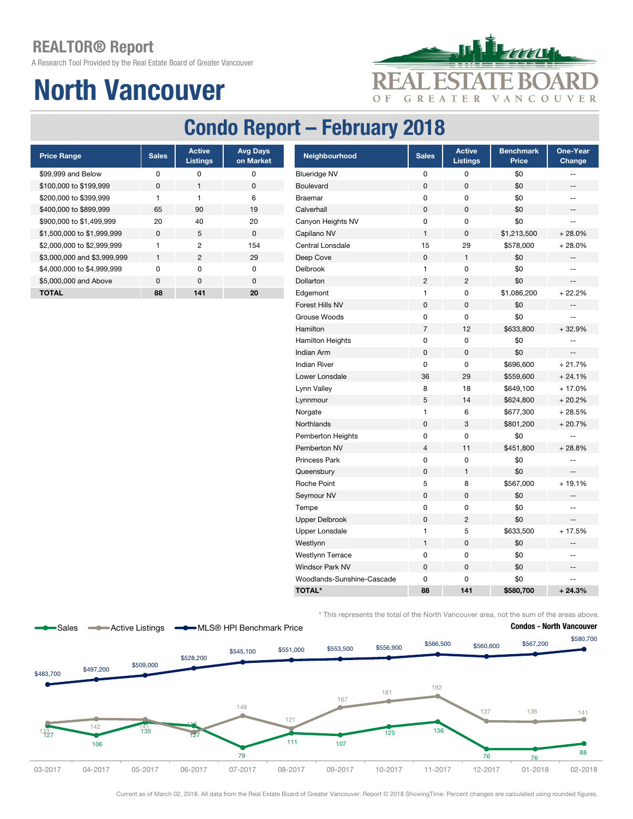A Research Tool Provided by the Real Estate Board of Greater Vancouver

# North Vancouver



### Condo Report – February 2018

| <b>Price Range</b>          | <b>Sales</b> | <b>Active</b><br><b>Listings</b> | <b>Avg Days</b><br>on Market |
|-----------------------------|--------------|----------------------------------|------------------------------|
| \$99,999 and Below          | ŋ            | ŋ                                | 0                            |
| \$100,000 to \$199,999      | <sup>0</sup> |                                  | 0                            |
| \$200,000 to \$399,999      | 1            |                                  | 6                            |
| \$400,000 to \$899,999      | 65           | 90                               | 19                           |
| \$900,000 to \$1,499,999    | 20           | 40                               | 20                           |
| \$1,500,000 to \$1,999,999  | $\Omega$     | 5                                | $\Omega$                     |
| \$2,000,000 to \$2,999,999  |              | 2                                | 154                          |
| \$3,000,000 and \$3,999,999 | 1            | 2                                | 29                           |
| \$4,000,000 to \$4,999,999  | U            | U                                | O                            |
| \$5,000,000 and Above       | U            | $\Omega$                         | <sup>0</sup>                 |
| TOTAL                       | 88           | 141                              | 20                           |

| <b>Price Range</b>          | <b>Sales</b> | <b>Active</b><br><b>Listings</b> | <b>Avg Days</b><br>on Market | Neighbourhood              | <b>Sales</b>   | <b>Active</b><br><b>Listings</b> | <b>Benchmark</b><br>Price | One-Year<br>Change       |
|-----------------------------|--------------|----------------------------------|------------------------------|----------------------------|----------------|----------------------------------|---------------------------|--------------------------|
| \$99.999 and Below          | 0            | $\pmb{0}$                        | 0                            | <b>Blueridge NV</b>        | 0              | 0                                | \$0                       | $-$                      |
| \$100,000 to \$199,999      | $\pmb{0}$    | $\mathbf{1}$                     | $\pmb{0}$                    | Boulevard                  | 0              | $\pmb{0}$                        | \$0                       | ÷-                       |
| \$200,000 to \$399,999      | $\mathbf{1}$ | $\mathbf{1}$                     | 6                            | <b>Braemar</b>             | 0              | 0                                | \$0                       | $\overline{\phantom{a}}$ |
| \$400,000 to \$899,999      | 65           | 90                               | 19                           | Calverhall                 | 0              | $\mathbf 0$                      | \$0                       | $-\, -$                  |
| \$900,000 to \$1,499,999    | 20           | 40                               | 20                           | Canyon Heights NV          | 0              | $\pmb{0}$                        | \$0                       | $\mathbf{u}$             |
| \$1,500,000 to \$1,999,999  | $\pmb{0}$    | $\sqrt{5}$                       | $\pmb{0}$                    | Capilano NV                | $\mathbf{1}$   | 0                                | \$1,213,500               | $+28.0%$                 |
| \$2,000,000 to \$2,999,999  | $\mathbf{1}$ | $\overline{c}$                   | 154                          | Central Lonsdale           | 15             | 29                               | \$578,000                 | $+28.0%$                 |
| \$3,000,000 and \$3,999,999 | $\mathbf{1}$ | $\overline{2}$                   | 29                           | Deep Cove                  | $\pmb{0}$      | $\mathbf{1}$                     | \$0                       | --                       |
| \$4,000,000 to \$4,999,999  | 0            | $\mathbf 0$                      | $\mathsf 0$                  | <b>Delbrook</b>            | $\mathbf{1}$   | $\pmb{0}$                        | \$0                       | --                       |
| \$5,000,000 and Above       | $\pmb{0}$    | $\mathsf 0$                      | $\pmb{0}$                    | Dollarton                  | $\overline{c}$ | $\overline{2}$                   | \$0                       | $\overline{\phantom{a}}$ |
| <b>TOTAL</b>                | 88           | 141                              | 20                           | Edgemont                   | $\mathbf{1}$   | $\pmb{0}$                        | \$1,086,200               | $+22.2%$                 |
|                             |              |                                  |                              | Forest Hills NV            | $\pmb{0}$      | $\mathsf 0$                      | \$0                       | --                       |
|                             |              |                                  |                              | Grouse Woods               | 0              | $\pmb{0}$                        | \$0                       | Ξ.                       |
|                             |              |                                  |                              | Hamilton                   | $\overline{7}$ | 12                               | \$633,800                 | $+32.9%$                 |
|                             |              |                                  |                              | <b>Hamilton Heights</b>    | 0              | 0                                | \$0                       | ÷-                       |
|                             |              |                                  |                              | Indian Arm                 | $\pmb{0}$      | $\mathsf 0$                      | \$0                       | $\qquad \qquad -$        |
|                             |              |                                  |                              | <b>Indian River</b>        | 0              | 0                                | \$696,600                 | $+21.7%$                 |
|                             |              |                                  |                              | Lower Lonsdale             | 36             | 29                               | \$559,600                 | $+24.1%$                 |
|                             |              |                                  |                              | Lynn Valley                | 8              | 18                               | \$649,100                 | $+17.0%$                 |
|                             |              |                                  |                              | Lynnmour                   | 5              | 14                               | \$624,800                 | $+20.2%$                 |
|                             |              |                                  |                              | Norgate                    | $\mathbf{1}$   | 6                                | \$677,300                 | $+28.5%$                 |
|                             |              |                                  |                              | Northlands                 | $\pmb{0}$      | 3                                | \$801,200                 | $+20.7%$                 |
|                             |              |                                  |                              | Pemberton Heights          | 0              | 0                                | \$0                       |                          |
|                             |              |                                  |                              | Pemberton NV               | $\overline{4}$ | 11                               | \$451,800                 | $+28.8%$                 |
|                             |              |                                  |                              | Princess Park              | 0              | 0                                | \$0                       | --                       |
|                             |              |                                  |                              | Queensbury                 | 0              | 1                                | \$0                       | $\qquad \qquad -$        |
|                             |              |                                  |                              | Roche Point                | 5              | 8                                | \$567,000                 | $+19.1%$                 |
|                             |              |                                  |                              | Seymour NV                 | 0              | $\pmb{0}$                        | \$0                       | ÷-                       |
|                             |              |                                  |                              | Tempe                      | 0              | 0                                | \$0                       | $\frac{1}{2}$            |
|                             |              |                                  |                              | <b>Upper Delbrook</b>      | $\pmb{0}$      | $\overline{c}$                   | \$0                       | Щ,                       |
|                             |              |                                  |                              | <b>Upper Lonsdale</b>      | $\mathbf{1}$   | 5                                | \$633,500                 | $+17.5%$                 |
|                             |              |                                  |                              | Westlynn                   | $\mathbf{1}$   | $\pmb{0}$                        | \$0                       |                          |
|                             |              |                                  |                              | <b>Westlynn Terrace</b>    | 0              | 0                                | \$0                       | $-$                      |
|                             |              |                                  |                              | <b>Windsor Park NV</b>     | $\pmb{0}$      | $\mathsf 0$                      | \$0                       | $\overline{\phantom{a}}$ |
|                             |              |                                  |                              | Woodlands-Sunshine-Cascade | 0              | 0                                | \$0                       | $-$                      |
|                             |              |                                  |                              | <b>TOTAL*</b>              | 88             | 141                              | \$580,700                 | $+24.3%$                 |

\* This represents the total of the North Vancouver area, not the sum of the areas above.



Current as of March 02, 2018. All data from the Real Estate Board of Greater Vancouver. Report © 2018 ShowingTime. Percent changes are calculated using rounded figures.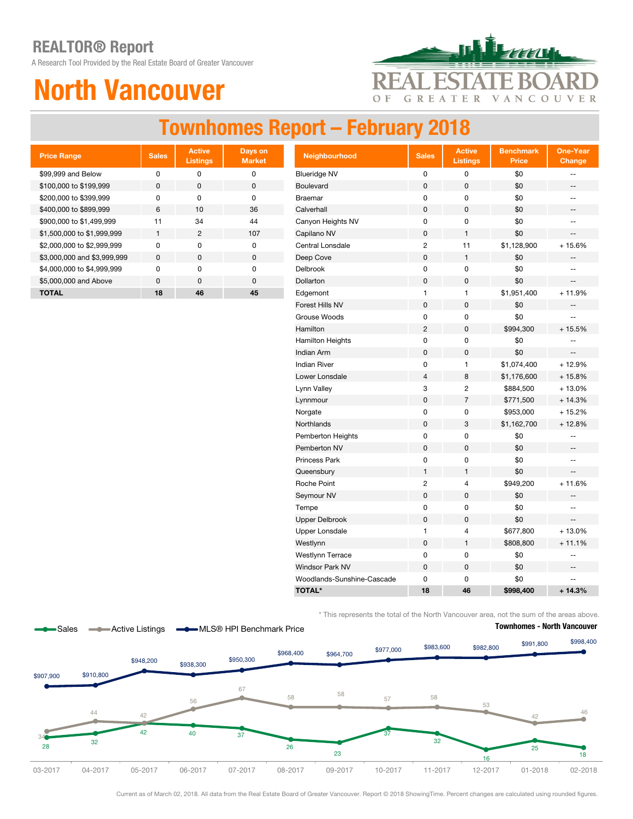A Research Tool Provided by the Real Estate Board of Greater Vancouver

# North Vancouver



### Townhomes Report – February 2018

| <b>Price Range</b>          | <b>Sales</b> | <b>Active</b><br><b>Listings</b> | Days on<br><b>Market</b> |
|-----------------------------|--------------|----------------------------------|--------------------------|
| \$99,999 and Below          | ŋ            | O                                | 0                        |
| \$100,000 to \$199,999      | O            | <sup>0</sup>                     | 0                        |
| \$200,000 to \$399,999      | U            | U                                | ŋ                        |
| \$400,000 to \$899,999      | 6            | 10                               | 36                       |
| \$900,000 to \$1,499,999    | 11           | 34                               | 44                       |
| \$1,500,000 to \$1,999,999  | 1            | 2                                | 107                      |
| \$2,000,000 to \$2,999,999  | U            | O                                | ŋ                        |
| \$3,000,000 and \$3,999,999 | O            | $\Omega$                         | O                        |
| \$4,000,000 to \$4,999,999  | U            | U                                | O                        |
| \$5,000,000 and Above       | $\Omega$     | <sup>0</sup>                     | O                        |
| <b>TOTAL</b>                | 18           | 46                               | 45                       |

| <b>Price Range</b>          | <b>Sales</b> | <b>Active</b><br><b>Listings</b> | Days on<br><b>Market</b> | Neighbourhood              | <b>Sales</b>     | <b>Active</b><br><b>Listings</b> | <b>Benchmark</b><br><b>Price</b> | <b>One-Year</b><br>Change                           |
|-----------------------------|--------------|----------------------------------|--------------------------|----------------------------|------------------|----------------------------------|----------------------------------|-----------------------------------------------------|
| \$99,999 and Below          | $\pmb{0}$    | 0                                | $\pmb{0}$                | <b>Blueridge NV</b>        | 0                | 0                                | \$0                              | --                                                  |
| \$100,000 to \$199,999      | $\pmb{0}$    | $\pmb{0}$                        | $\pmb{0}$                | Boulevard                  | 0                | $\pmb{0}$                        | \$0                              | --                                                  |
| \$200,000 to \$399,999      | 0            | $\pmb{0}$                        | $\pmb{0}$                | <b>Braemar</b>             | 0                | $\pmb{0}$                        | \$0                              | $-$                                                 |
| \$400,000 to \$899,999      | $\,6$        | 10                               | 36                       | Calverhall                 | $\pmb{0}$        | $\pmb{0}$                        | \$0                              | $\hspace{0.05cm} -\hspace{0.05cm} -\hspace{0.05cm}$ |
| \$900,000 to \$1,499,999    | 11           | 34                               | 44                       | Canyon Heights NV          | 0                | $\pmb{0}$                        | \$0                              | $\overline{\phantom{a}}$                            |
| \$1,500,000 to \$1,999,999  | $\mathbf{1}$ | $\overline{2}$                   | 107                      | Capilano NV                | $\pmb{0}$        | $\mathbf{1}$                     | \$0                              | $\qquad \qquad -$                                   |
| \$2,000,000 to \$2,999,999  | $\pmb{0}$    | $\mathsf 0$                      | $\pmb{0}$                | Central Lonsdale           | $\boldsymbol{2}$ | 11                               | \$1,128,900                      | $+15.6%$                                            |
| \$3,000,000 and \$3,999,999 | $\pmb{0}$    | $\mathsf 0$                      | $\pmb{0}$                | Deep Cove                  | $\pmb{0}$        | $\mathbf{1}$                     | \$0                              |                                                     |
| \$4,000,000 to \$4,999,999  | 0            | 0                                | $\mathbf 0$              | Delbrook                   | 0                | $\pmb{0}$                        | \$0                              | $\frac{1}{2}$                                       |
| \$5,000,000 and Above       | $\pmb{0}$    | $\mathbf 0$                      | $\mathbf 0$              | Dollarton                  | $\pmb{0}$        | $\pmb{0}$                        | \$0                              | --                                                  |
| <b>TOTAL</b>                | 18           | 46                               | 45                       | Edgemont                   | $\mathbf{1}$     | $\mathbf{1}$                     | \$1,951,400                      | $+11.9%$                                            |
|                             |              |                                  |                          | Forest Hills NV            | $\pmb{0}$        | $\pmb{0}$                        | \$0                              | $\qquad \qquad -$                                   |
|                             |              |                                  |                          | Grouse Woods               | 0                | $\pmb{0}$                        | \$0                              | ÷-                                                  |
|                             |              |                                  |                          | Hamilton                   | $\overline{c}$   | $\mathsf 0$                      | \$994,300                        | $+15.5%$                                            |
|                             |              |                                  |                          | Hamilton Heights           | 0                | 0                                | \$0                              | $\frac{1}{2}$                                       |
|                             |              |                                  |                          | <b>Indian Arm</b>          | $\pmb{0}$        | $\pmb{0}$                        | \$0                              | $\overline{\phantom{a}}$                            |
|                             |              |                                  |                          | <b>Indian River</b>        | 0                | 1                                | \$1,074,400                      | $+12.9%$                                            |
|                             |              |                                  |                          | Lower Lonsdale             | $\overline{4}$   | 8                                | \$1,176,600                      | $+15.8%$                                            |
|                             |              |                                  |                          | Lynn Valley                | 3                | $\overline{c}$                   | \$884,500                        | $+13.0%$                                            |
|                             |              |                                  |                          | Lynnmour                   | $\pmb{0}$        | $\overline{7}$                   | \$771,500                        | $+14.3%$                                            |
|                             |              |                                  |                          | Norgate                    | 0                | $\pmb{0}$                        | \$953,000                        | $+15.2%$                                            |
|                             |              |                                  |                          | Northlands                 | $\pmb{0}$        | 3                                | \$1,162,700                      | $+12.8%$                                            |
|                             |              |                                  |                          | Pemberton Heights          | 0                | 0                                | \$0                              | --                                                  |
|                             |              |                                  |                          | Pemberton NV               | $\pmb{0}$        | $\pmb{0}$                        | \$0                              | --                                                  |
|                             |              |                                  |                          | <b>Princess Park</b>       | 0                | $\pmb{0}$                        | \$0                              | $\overline{\phantom{a}}$                            |
|                             |              |                                  |                          | Queensbury                 | $\mathbf{1}$     | 1                                | \$0                              |                                                     |
|                             |              |                                  |                          | Roche Point                | $\overline{c}$   | $\overline{4}$                   | \$949,200                        | $+11.6%$                                            |
|                             |              |                                  |                          | Seymour NV                 | $\pmb{0}$        | $\pmb{0}$                        | \$0                              | --                                                  |
|                             |              |                                  |                          | Tempe                      | 0                | 0                                | \$0                              | $\frac{1}{2}$                                       |
|                             |              |                                  |                          | <b>Upper Delbrook</b>      | $\pmb{0}$        | $\mathbf 0$                      | \$0                              | $\qquad \qquad -$                                   |
|                             |              |                                  |                          | <b>Upper Lonsdale</b>      | $\mathbf{1}$     | 4                                | \$677,800                        | $+13.0%$                                            |
|                             |              |                                  |                          | Westlynn                   | $\pmb{0}$        | $\mathbf{1}$                     | \$808,800                        | $+11.1%$                                            |
|                             |              |                                  |                          | <b>Westlynn Terrace</b>    | 0                | $\pmb{0}$                        | \$0                              | --                                                  |
|                             |              |                                  |                          | <b>Windsor Park NV</b>     | $\pmb{0}$        | $\pmb{0}$                        | \$0                              | $\overline{\phantom{a}}$                            |
|                             |              |                                  |                          | Woodlands-Sunshine-Cascade | 0                | 0                                | \$0                              | --                                                  |
|                             |              |                                  |                          | <b>TOTAL*</b>              | 18               | 46                               | \$998,400                        | $+14.3%$                                            |

\* This represents the total of the North Vancouver area, not the sum of the areas above.



Current as of March 02, 2018. All data from the Real Estate Board of Greater Vancouver. Report © 2018 ShowingTime. Percent changes are calculated using rounded figures.